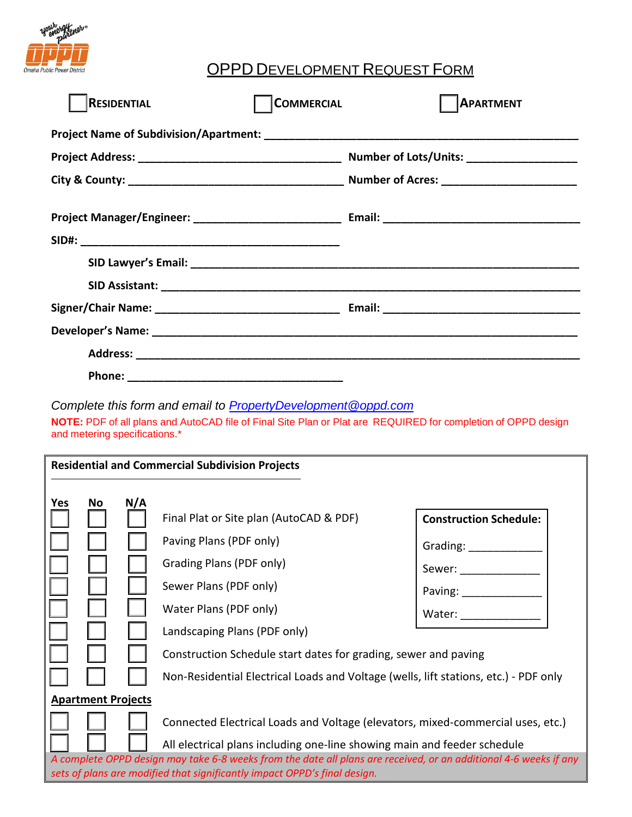

## OPPD DEVELOPMENT REQUEST FORM

| <b>RESIDENTIAL</b> | <b>COMMERCIAL</b> | <b>APARTMENT</b> |
|--------------------|-------------------|------------------|
|                    |                   |                  |
|                    |                   |                  |
|                    |                   |                  |
|                    |                   |                  |
|                    |                   |                  |
|                    |                   |                  |
|                    |                   |                  |
|                    |                   |                  |
|                    |                   |                  |
|                    |                   |                  |
|                    |                   |                  |

*Complete this form and email to Property[Development@oppd.com](mailto:PropertyDevelopment@oppd.com)*

**NOTE:** PDF of all plans and AutoCAD file of Final Site Plan or Plat are REQUIRED for completion of OPPD design and metering specifications.\*

| <b>Residential and Commercial Subdivision Projects</b>                                                                                                                                                                                                                     |    |     |                                                                                                                                                    |                                                                     |  |
|----------------------------------------------------------------------------------------------------------------------------------------------------------------------------------------------------------------------------------------------------------------------------|----|-----|----------------------------------------------------------------------------------------------------------------------------------------------------|---------------------------------------------------------------------|--|
| Yes                                                                                                                                                                                                                                                                        | No | N/A | Final Plat or Site plan (AutoCAD & PDF)<br>Paving Plans (PDF only)<br>Grading Plans (PDF only)<br>Sewer Plans (PDF only)<br>Water Plans (PDF only) | <b>Construction Schedule:</b><br>Grading: ____<br>Sewer:<br>Paving: |  |
|                                                                                                                                                                                                                                                                            |    |     | Water:<br>Landscaping Plans (PDF only)<br>Construction Schedule start dates for grading, sewer and paving                                          |                                                                     |  |
| Non-Residential Electrical Loads and Voltage (wells, lift stations, etc.) - PDF only<br><b>Apartment Projects</b><br>Connected Electrical Loads and Voltage (elevators, mixed-commercial uses, etc.)                                                                       |    |     |                                                                                                                                                    |                                                                     |  |
| All electrical plans including one-line showing main and feeder schedule<br>A complete OPPD design may take 6-8 weeks from the date all plans are received, or an additional 4-6 weeks if any<br>sets of plans are modified that significantly impact OPPD's final design. |    |     |                                                                                                                                                    |                                                                     |  |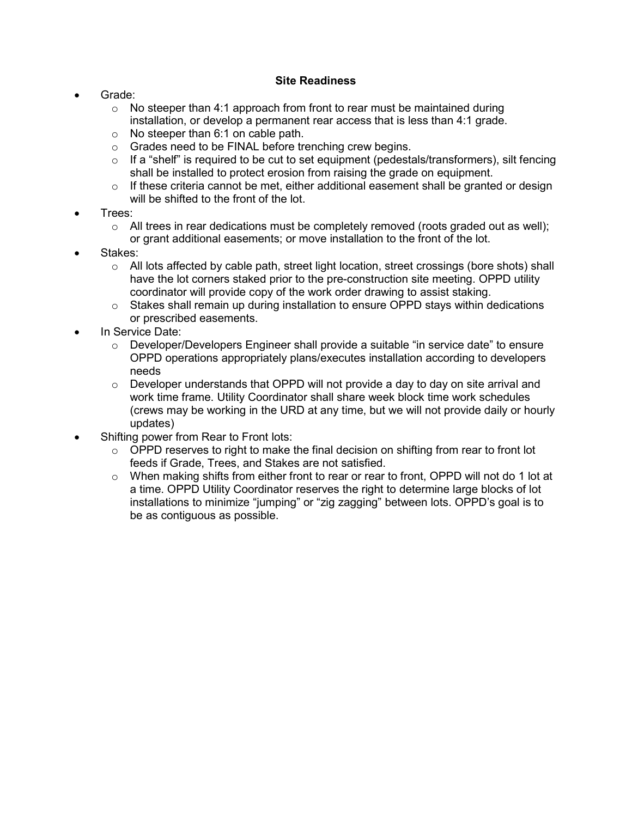#### Site Readiness

- Grade:
	- $\circ$  No steeper than 4:1 approach from front to rear must be maintained during installation, or develop a permanent rear access that is less than 4:1 grade.
	- o No steeper than 6:1 on cable path.
	- o Grades need to be FINAL before trenching crew begins.
	- $\circ$  If a "shelf" is required to be cut to set equipment (pedestals/transformers), silt fencing shall be installed to protect erosion from raising the grade on equipment.
	- $\circ$  If these criteria cannot be met, either additional easement shall be granted or design will be shifted to the front of the lot.
- Trees:
	- $\circ$  All trees in rear dedications must be completely removed (roots graded out as well); or grant additional easements; or move installation to the front of the lot.
- Stakes:
	- $\circ$  All lots affected by cable path, street light location, street crossings (bore shots) shall have the lot corners staked prior to the pre-construction site meeting. OPPD utility coordinator will provide copy of the work order drawing to assist staking.
	- $\circ$  Stakes shall remain up during installation to ensure OPPD stays within dedications or prescribed easements.
- In Service Date:
	- $\circ$  Developer/Developers Engineer shall provide a suitable "in service date" to ensure OPPD operations appropriately plans/executes installation according to developers needs
	- $\circ$  Developer understands that OPPD will not provide a day to day on site arrival and work time frame. Utility Coordinator shall share week block time work schedules (crews may be working in the URD at any time, but we will not provide daily or hourly updates)
- Shifting power from Rear to Front lots:
	- $\circ$  OPPD reserves to right to make the final decision on shifting from rear to front lot feeds if Grade, Trees, and Stakes are not satisfied.
	- $\circ$  When making shifts from either front to rear or rear to front, OPPD will not do 1 lot at a time. OPPD Utility Coordinator reserves the right to determine large blocks of lot installations to minimize "jumping" or "zig zagging" between lots. OPPD's goal is to be as contiguous as possible.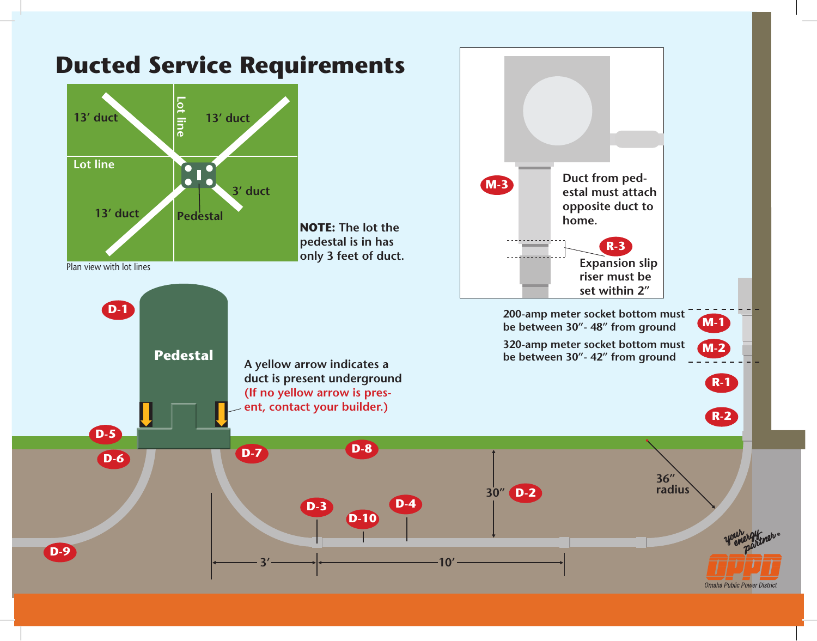